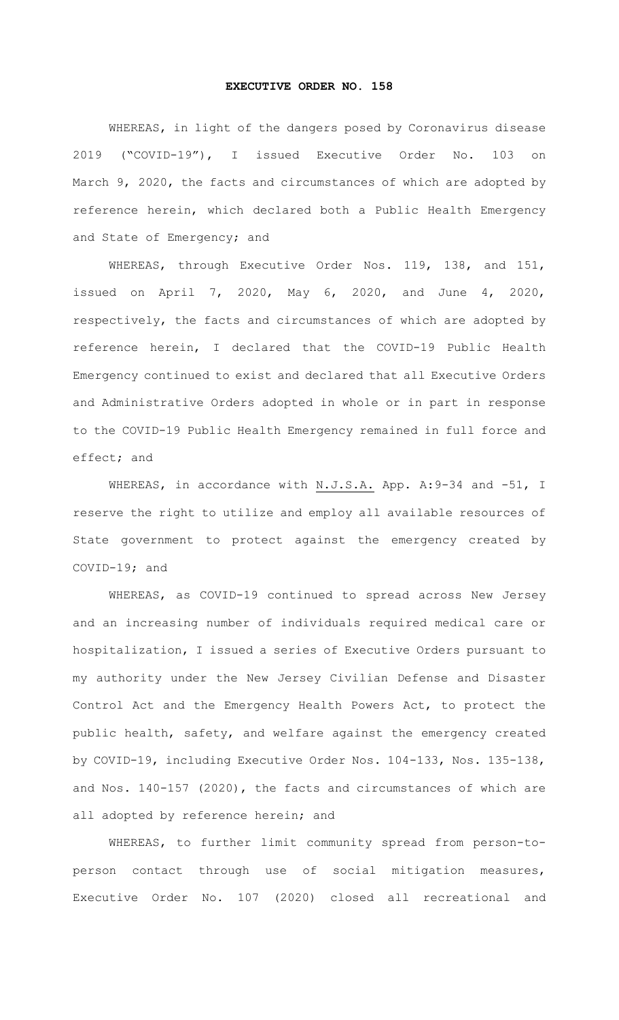## **EXECUTIVE ORDER NO. 158**

WHEREAS, in light of the dangers posed by Coronavirus disease 2019 ("COVID-19"), I issued Executive Order No. 103 on March 9, 2020, the facts and circumstances of which are adopted by reference herein, which declared both a Public Health Emergency and State of Emergency; and

WHEREAS, through Executive Order Nos. 119, 138, and 151, issued on April 7, 2020, May 6, 2020, and June 4, 2020, respectively, the facts and circumstances of which are adopted by reference herein, I declared that the COVID-19 Public Health Emergency continued to exist and declared that all Executive Orders and Administrative Orders adopted in whole or in part in response to the COVID-19 Public Health Emergency remained in full force and effect; and

WHEREAS, in accordance with N.J.S.A. App. A: 9-34 and -51, I reserve the right to utilize and employ all available resources of State government to protect against the emergency created by COVID-19; and

WHEREAS, as COVID-19 continued to spread across New Jersey and an increasing number of individuals required medical care or hospitalization, I issued a series of Executive Orders pursuant to my authority under the New Jersey Civilian Defense and Disaster Control Act and the Emergency Health Powers Act, to protect the public health, safety, and welfare against the emergency created by COVID-19, including Executive Order Nos. 104-133, Nos. 135-138, and Nos. 140-157 (2020), the facts and circumstances of which are all adopted by reference herein; and

WHEREAS, to further limit community spread from person-toperson contact through use of social mitigation measures, Executive Order No. 107 (2020) closed all recreational and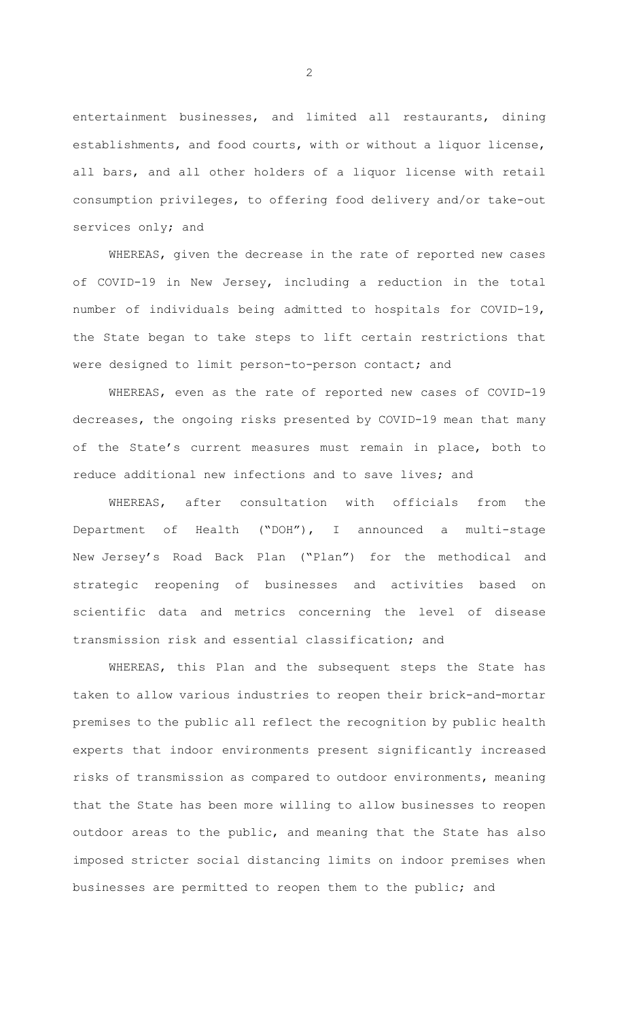entertainment businesses, and limited all restaurants, dining establishments, and food courts, with or without a liquor license, all bars, and all other holders of a liquor license with retail consumption privileges, to offering food delivery and/or take-out services only; and

WHEREAS, given the decrease in the rate of reported new cases of COVID-19 in New Jersey, including a reduction in the total number of individuals being admitted to hospitals for COVID-19, the State began to take steps to lift certain restrictions that were designed to limit person-to-person contact; and

WHEREAS, even as the rate of reported new cases of COVID-19 decreases, the ongoing risks presented by COVID-19 mean that many of the State's current measures must remain in place, both to reduce additional new infections and to save lives; and

WHEREAS, after consultation with officials from the Department of Health ("DOH"), I announced a multi-stage New Jersey's Road Back Plan ("Plan") for the methodical and strategic reopening of businesses and activities based on scientific data and metrics concerning the level of disease transmission risk and essential classification; and

WHEREAS, this Plan and the subsequent steps the State has taken to allow various industries to reopen their brick-and-mortar premises to the public all reflect the recognition by public health experts that indoor environments present significantly increased risks of transmission as compared to outdoor environments, meaning that the State has been more willing to allow businesses to reopen outdoor areas to the public, and meaning that the State has also imposed stricter social distancing limits on indoor premises when businesses are permitted to reopen them to the public; and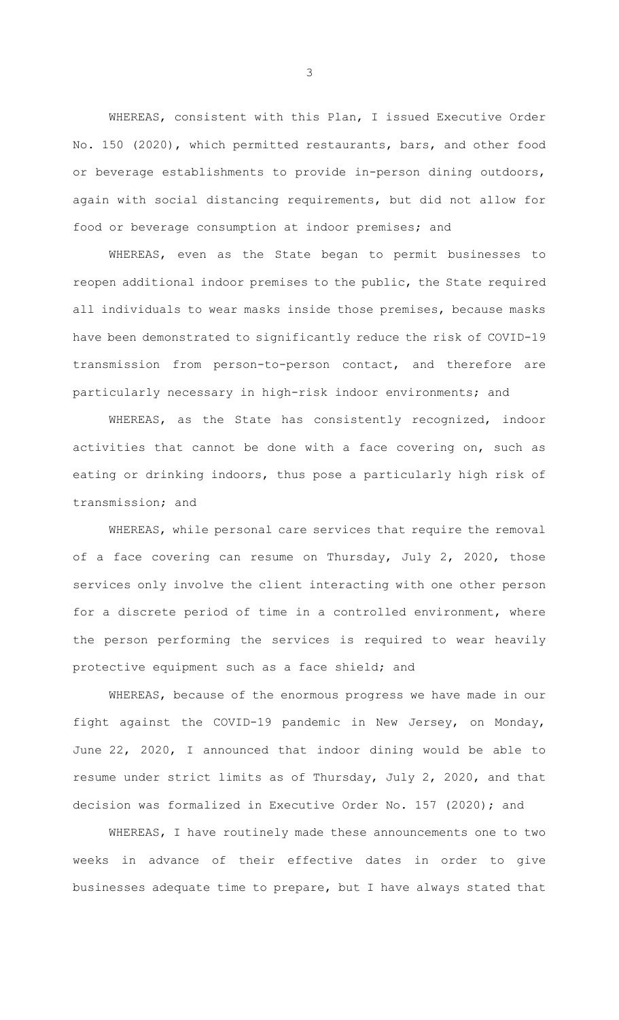WHEREAS, consistent with this Plan, I issued Executive Order No. 150 (2020), which permitted restaurants, bars, and other food or beverage establishments to provide in-person dining outdoors, again with social distancing requirements, but did not allow for food or beverage consumption at indoor premises; and

WHEREAS, even as the State began to permit businesses to reopen additional indoor premises to the public, the State required all individuals to wear masks inside those premises, because masks have been demonstrated to significantly reduce the risk of COVID-19 transmission from person-to-person contact, and therefore are particularly necessary in high-risk indoor environments; and

WHEREAS, as the State has consistently recognized, indoor activities that cannot be done with a face covering on, such as eating or drinking indoors, thus pose a particularly high risk of transmission; and

WHEREAS, while personal care services that require the removal of a face covering can resume on Thursday, July 2, 2020, those services only involve the client interacting with one other person for a discrete period of time in a controlled environment, where the person performing the services is required to wear heavily protective equipment such as a face shield; and

WHEREAS, because of the enormous progress we have made in our fight against the COVID-19 pandemic in New Jersey, on Monday, June 22, 2020, I announced that indoor dining would be able to resume under strict limits as of Thursday, July 2, 2020, and that decision was formalized in Executive Order No. 157 (2020); and

WHEREAS, I have routinely made these announcements one to two weeks in advance of their effective dates in order to give businesses adequate time to prepare, but I have always stated that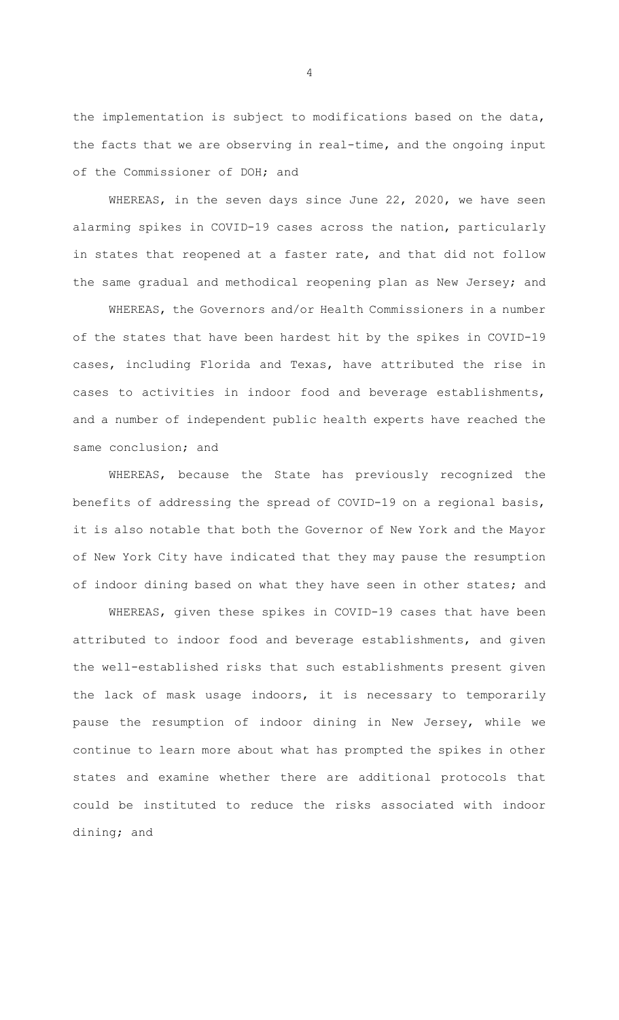the implementation is subject to modifications based on the data, the facts that we are observing in real-time, and the ongoing input of the Commissioner of DOH; and

WHEREAS, in the seven days since June 22, 2020, we have seen alarming spikes in COVID-19 cases across the nation, particularly in states that reopened at a faster rate, and that did not follow the same gradual and methodical reopening plan as New Jersey; and

WHEREAS, the Governors and/or Health Commissioners in a number of the states that have been hardest hit by the spikes in COVID-19 cases, including Florida and Texas, have attributed the rise in cases to activities in indoor food and beverage establishments, and a number of independent public health experts have reached the same conclusion; and

WHEREAS, because the State has previously recognized the benefits of addressing the spread of COVID-19 on a regional basis, it is also notable that both the Governor of New York and the Mayor of New York City have indicated that they may pause the resumption of indoor dining based on what they have seen in other states; and

WHEREAS, given these spikes in COVID-19 cases that have been attributed to indoor food and beverage establishments, and given the well-established risks that such establishments present given the lack of mask usage indoors, it is necessary to temporarily pause the resumption of indoor dining in New Jersey, while we continue to learn more about what has prompted the spikes in other states and examine whether there are additional protocols that could be instituted to reduce the risks associated with indoor dining; and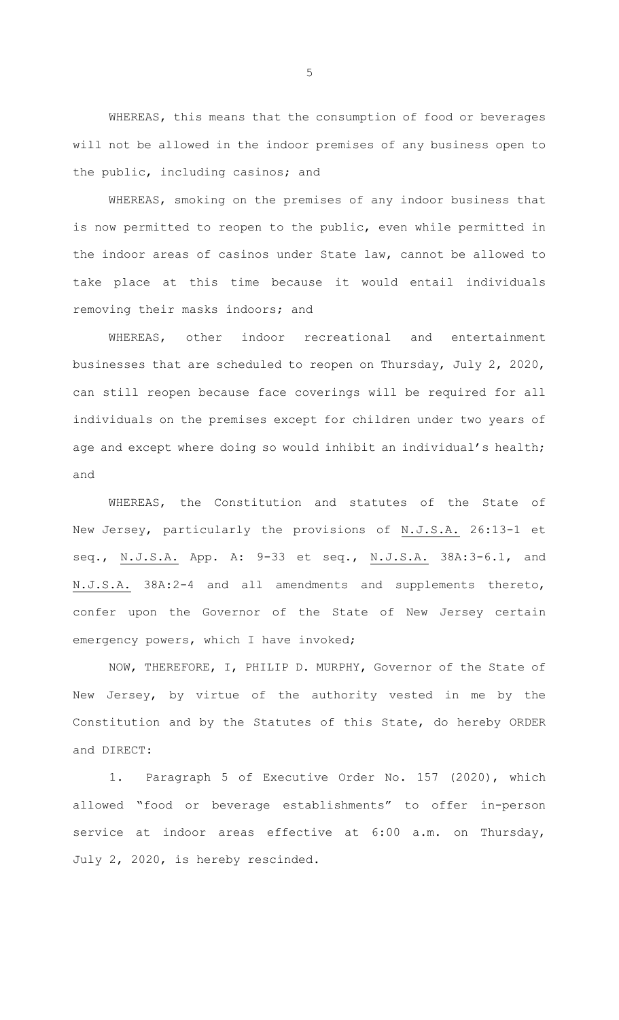WHEREAS, this means that the consumption of food or beverages will not be allowed in the indoor premises of any business open to the public, including casinos; and

WHEREAS, smoking on the premises of any indoor business that is now permitted to reopen to the public, even while permitted in the indoor areas of casinos under State law, cannot be allowed to take place at this time because it would entail individuals removing their masks indoors; and

WHEREAS, other indoor recreational and entertainment businesses that are scheduled to reopen on Thursday, July 2, 2020, can still reopen because face coverings will be required for all individuals on the premises except for children under two years of age and except where doing so would inhibit an individual's health; and

WHEREAS, the Constitution and statutes of the State of New Jersey, particularly the provisions of N.J.S.A. 26:13-1 et seq., N.J.S.A. App. A: 9-33 et seq., N.J.S.A. 38A:3-6.1, and N.J.S.A. 38A:2-4 and all amendments and supplements thereto, confer upon the Governor of the State of New Jersey certain emergency powers, which I have invoked;

NOW, THEREFORE, I, PHILIP D. MURPHY, Governor of the State of New Jersey, by virtue of the authority vested in me by the Constitution and by the Statutes of this State, do hereby ORDER and DIRECT:

1. Paragraph 5 of Executive Order No. 157 (2020), which allowed "food or beverage establishments" to offer in-person service at indoor areas effective at 6:00 a.m. on Thursday, July 2, 2020, is hereby rescinded.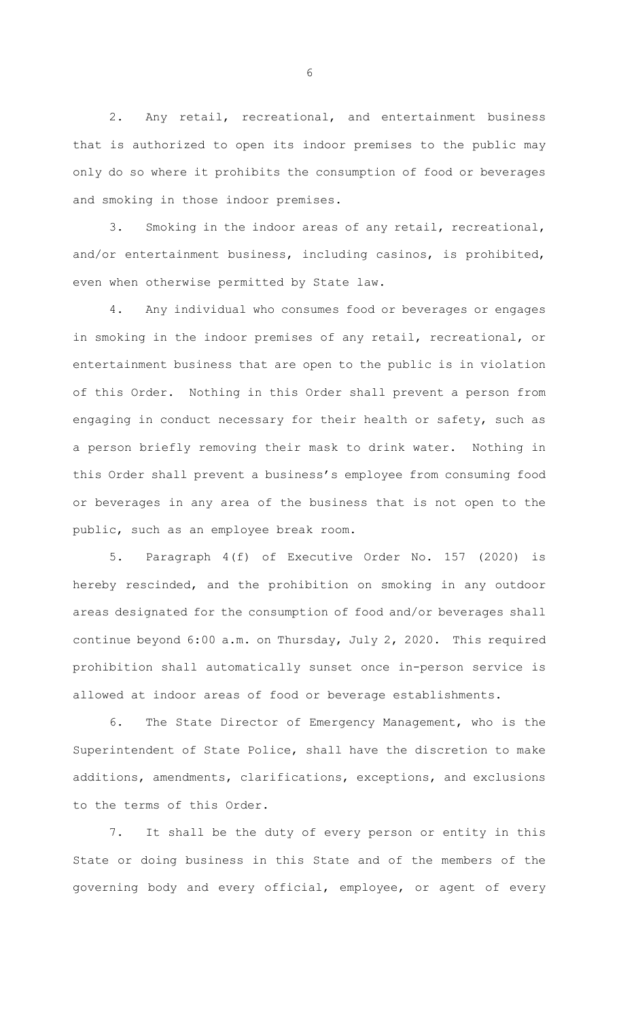2. Any retail, recreational, and entertainment business that is authorized to open its indoor premises to the public may only do so where it prohibits the consumption of food or beverages and smoking in those indoor premises.

3. Smoking in the indoor areas of any retail, recreational, and/or entertainment business, including casinos, is prohibited, even when otherwise permitted by State law.

4. Any individual who consumes food or beverages or engages in smoking in the indoor premises of any retail, recreational, or entertainment business that are open to the public is in violation of this Order. Nothing in this Order shall prevent a person from engaging in conduct necessary for their health or safety, such as a person briefly removing their mask to drink water. Nothing in this Order shall prevent a business's employee from consuming food or beverages in any area of the business that is not open to the public, such as an employee break room.

5. Paragraph 4(f) of Executive Order No. 157 (2020) is hereby rescinded, and the prohibition on smoking in any outdoor areas designated for the consumption of food and/or beverages shall continue beyond 6:00 a.m. on Thursday, July 2, 2020. This required prohibition shall automatically sunset once in-person service is allowed at indoor areas of food or beverage establishments.

6. The State Director of Emergency Management, who is the Superintendent of State Police, shall have the discretion to make additions, amendments, clarifications, exceptions, and exclusions to the terms of this Order.

7. It shall be the duty of every person or entity in this State or doing business in this State and of the members of the governing body and every official, employee, or agent of every